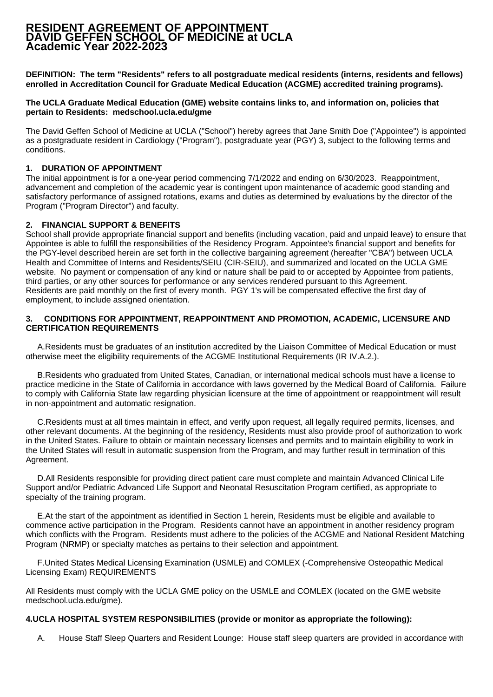# **RESIDENT AGREEMENT OF APPOINTMENT DAVID GEFFEN SCHOOL OF MEDICINE at UCLA Academic Year 2022-2023**

**DEFINITION: The term "Residents" refers to all postgraduate medical residents (interns, residents and fellows) enrolled in Accreditation Council for Graduate Medical Education (ACGME) accredited training programs).**

**The UCLA Graduate Medical Education (GME) website contains links to, and information on, policies that pertain to Residents: medschool.ucla.edu/gme**

The David Geffen School of Medicine at UCLA ("School") hereby agrees that Jane Smith Doe ("Appointee") is appointed as a postgraduate resident in Cardiology ("Program"), postgraduate year (PGY) 3, subject to the following terms and conditions.

#### **1. DURATION OF APPOINTMENT**

The initial appointment is for a one-year period commencing 7/1/2022 and ending on 6/30/2023. Reappointment, advancement and completion of the academic year is contingent upon maintenance of academic good standing and satisfactory performance of assigned rotations, exams and duties as determined by evaluations by the director of the Program ("Program Director") and faculty.

#### **2. FINANCIAL SUPPORT & BENEFITS**

School shall provide appropriate financial support and benefits (including vacation, paid and unpaid leave) to ensure that Appointee is able to fulfill the responsibilities of the Residency Program. Appointee's financial support and benefits for the PGY-level described herein are set forth in the collective bargaining agreement (hereafter "CBA") between UCLA Health and Committee of Interns and Residents/SEIU (CIR-SEIU), and summarized and located on the UCLA GME website. No payment or compensation of any kind or nature shall be paid to or accepted by Appointee from patients, third parties, or any other sources for performance or any services rendered pursuant to this Agreement. Residents are paid monthly on the first of every month. PGY 1's will be compensated effective the first day of employment, to include assigned orientation.

#### **3. CONDITIONS FOR APPOINTMENT, REAPPOINTMENT AND PROMOTION, ACADEMIC, LICENSURE AND CERTIFICATION REQUIREMENTS**

A. Residents must be graduates of an institution accredited by the Liaison Committee of Medical Education or must otherwise meet the eligibility requirements of the ACGME Institutional Requirements (IR IV.A.2.).

B. Residents who graduated from United States, Canadian, or international medical schools must have a license to practice medicine in the State of California in accordance with laws governed by the Medical Board of California. Failure to comply with California State law regarding physician licensure at the time of appointment or reappointment will result in non-appointment and automatic resignation.

C. Residents must at all times maintain in effect, and verify upon request, all legally required permits, licenses, and other relevant documents. At the beginning of the residency, Residents must also provide proof of authorization to work in the United States. Failure to obtain or maintain necessary licenses and permits and to maintain eligibility to work in the United States will result in automatic suspension from the Program, and may further result in termination of this Agreement.

D. All Residents responsible for providing direct patient care must complete and maintain Advanced Clinical Life Support and/or Pediatric Advanced Life Support and Neonatal Resuscitation Program certified, as appropriate to specialty of the training program.

 E. At the start of the appointment as identified in Section 1 herein, Residents must be eligible and available to commence active participation in the Program. Residents cannot have an appointment in another residency program which conflicts with the Program. Residents must adhere to the policies of the ACGME and National Resident Matching Program (NRMP) or specialty matches as pertains to their selection and appointment.

F. United States Medical Licensing Examination (USMLE) and COMLEX (-Comprehensive Osteopathic Medical Licensing Exam) REQUIREMENTS

All Residents must comply with the UCLA GME policy on the USMLE and COMLEX (located on the GME website medschool.ucla.edu/gme).

#### **4. UCLA HOSPITAL SYSTEM RESPONSIBILITIES (provide or monitor as appropriate the following):**

A. House Staff Sleep Quarters and Resident Lounge: House staff sleep quarters are provided in accordance with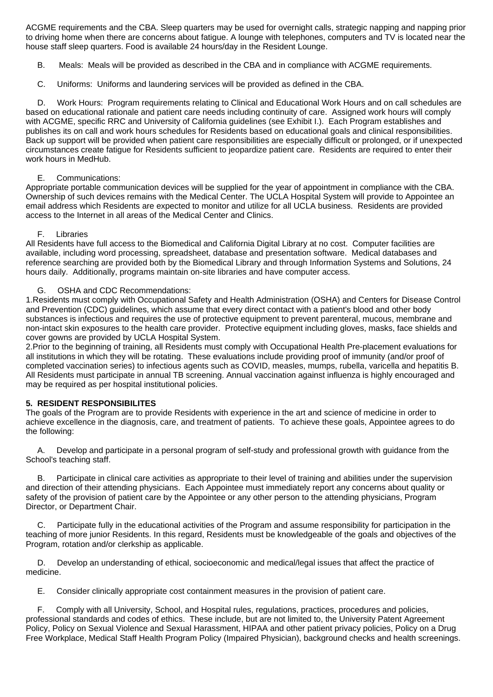ACGME requirements and the CBA. Sleep quarters may be used for overnight calls, strategic napping and napping prior to driving home when there are concerns about fatigue. A lounge with telephones, computers and TV is located near the house staff sleep quarters. Food is available 24 hours/day in the Resident Lounge.

- B. Meals: Meals will be provided as described in the CBA and in compliance with ACGME requirements.
- C. Uniforms: Uniforms and laundering services will be provided as defined in the CBA.

 D. Work Hours: Program requirements relating to Clinical and Educational Work Hours and on call schedules are based on educational rationale and patient care needs including continuity of care. Assigned work hours will comply with ACGME, specific RRC and University of California guidelines (see Exhibit I.). Each Program establishes and publishes its on call and work hours schedules for Residents based on educational goals and clinical responsibilities. Back up support will be provided when patient care responsibilities are especially difficult or prolonged, or if unexpected circumstances create fatigue for Residents sufficient to jeopardize patient care. Residents are required to enter their work hours in MedHub.

### E. Communications:

Appropriate portable communication devices will be supplied for the year of appointment in compliance with the CBA. Ownership of such devices remains with the Medical Center. The UCLA Hospital System will provide to Appointee an email address which Residents are expected to monitor and utilize for all UCLA business. Residents are provided access to the Internet in all areas of the Medical Center and Clinics.

## F. Libraries

All Residents have full access to the Biomedical and California Digital Library at no cost. Computer facilities are available, including word processing, spreadsheet, database and presentation software. Medical databases and reference searching are provided both by the Biomedical Library and through Information Systems and Solutions, 24 hours daily. Additionally, programs maintain on-site libraries and have computer access.

### G. OSHA and CDC Recommendations:

1. Residents must comply with Occupational Safety and Health Administration (OSHA) and Centers for Disease Control and Prevention (CDC) guidelines, which assume that every direct contact with a patient's blood and other body substances is infectious and requires the use of protective equipment to prevent parenteral, mucous, membrane and non-intact skin exposures to the health care provider. Protective equipment including gloves, masks, face shields and cover gowns are provided by UCLA Hospital System.

2. Prior to the beginning of training, all Residents must comply with Occupational Health Pre-placement evaluations for all institutions in which they will be rotating. These evaluations include providing proof of immunity (and/or proof of completed vaccination series) to infectious agents such as COVID, measles, mumps, rubella, varicella and hepatitis B. All Residents must participate in annual TB screening. Annual vaccination against influenza is highly encouraged and may be required as per hospital institutional policies.

### **5. RESIDENT RESPONSIBILITES**

The goals of the Program are to provide Residents with experience in the art and science of medicine in order to achieve excellence in the diagnosis, care, and treatment of patients. To achieve these goals, Appointee agrees to do the following:

 A. Develop and participate in a personal program of self-study and professional growth with guidance from the School's teaching staff.

 B. Participate in clinical care activities as appropriate to their level of training and abilities under the supervision and direction of their attending physicians. Each Appointee must immediately report any concerns about quality or safety of the provision of patient care by the Appointee or any other person to the attending physicians, Program Director, or Department Chair.

 C. Participate fully in the educational activities of the Program and assume responsibility for participation in the teaching of more junior Residents. In this regard, Residents must be knowledgeable of the goals and objectives of the Program, rotation and/or clerkship as applicable.

 D. Develop an understanding of ethical, socioeconomic and medical/legal issues that affect the practice of medicine.

E. Consider clinically appropriate cost containment measures in the provision of patient care.

 F. Comply with all University, School, and Hospital rules, regulations, practices, procedures and policies, professional standards and codes of ethics. These include, but are not limited to, the University Patent Agreement Policy, Policy on Sexual Violence and Sexual Harassment, HIPAA and other patient privacy policies, Policy on a Drug Free Workplace, Medical Staff Health Program Policy (Impaired Physician), background checks and health screenings.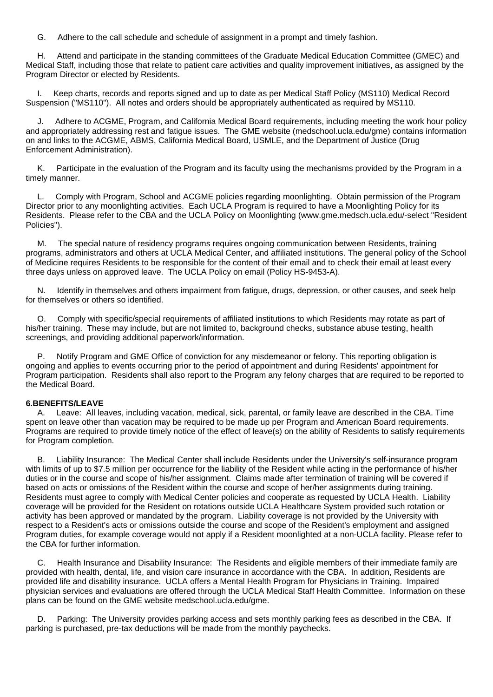G. Adhere to the call schedule and schedule of assignment in a prompt and timely fashion.

 H. Attend and participate in the standing committees of the Graduate Medical Education Committee (GMEC) and Medical Staff, including those that relate to patient care activities and quality improvement initiatives, as assigned by the Program Director or elected by Residents.

 I. Keep charts, records and reports signed and up to date as per Medical Staff Policy (MS110) Medical Record Suspension ("MS110"). All notes and orders should be appropriately authenticated as required by MS110.

 J. Adhere to ACGME, Program, and California Medical Board requirements, including meeting the work hour policy and appropriately addressing rest and fatigue issues. The GME website (medschool.ucla.edu/gme) contains information on and links to the ACGME, ABMS, California Medical Board, USMLE, and the Department of Justice (Drug Enforcement Administration).

 K. Participate in the evaluation of the Program and its faculty using the mechanisms provided by the Program in a timely manner.

 L. Comply with Program, School and ACGME policies regarding moonlighting. Obtain permission of the Program Director prior to any moonlighting activities. Each UCLA Program is required to have a Moonlighting Policy for its Residents. Please refer to the CBA and the UCLA Policy on Moonlighting (www.gme.medsch.ucla.edu/-select "Resident Policies").

 M. The special nature of residency programs requires ongoing communication between Residents, training programs, administrators and others at UCLA Medical Center, and affiliated institutions. The general policy of the School of Medicine requires Residents to be responsible for the content of their email and to check their email at least every three days unless on approved leave. The UCLA Policy on email (Policy HS-9453-A).

 N. Identify in themselves and others impairment from fatigue, drugs, depression, or other causes, and seek help for themselves or others so identified.

 O. Comply with specific/special requirements of affiliated institutions to which Residents may rotate as part of his/her training. These may include, but are not limited to, background checks, substance abuse testing, health screenings, and providing additional paperwork/information.

 P. Notify Program and GME Office of conviction for any misdemeanor or felony. This reporting obligation is ongoing and applies to events occurring prior to the period of appointment and during Residents' appointment for Program participation. Residents shall also report to the Program any felony charges that are required to be reported to the Medical Board.

### **6. BENEFITS/LEAVE**

 A. Leave: All leaves, including vacation, medical, sick, parental, or family leave are described in the CBA. Time spent on leave other than vacation may be required to be made up per Program and American Board requirements. Programs are required to provide timely notice of the effect of leave(s) on the ability of Residents to satisfy requirements for Program completion.

 B. Liability Insurance: The Medical Center shall include Residents under the University's self-insurance program with limits of up to \$7.5 million per occurrence for the liability of the Resident while acting in the performance of his/her duties or in the course and scope of his/her assignment. Claims made after termination of training will be covered if based on acts or omissions of the Resident within the course and scope of her/her assignments during training. Residents must agree to comply with Medical Center policies and cooperate as requested by UCLA Health. Liability coverage will be provided for the Resident on rotations outside UCLA Healthcare System provided such rotation or activity has been approved or mandated by the program. Liability coverage is not provided by the University with respect to a Resident's acts or omissions outside the course and scope of the Resident's employment and assigned Program duties, for example coverage would not apply if a Resident moonlighted at a non-UCLA facility. Please refer to the CBA for further information.

 C. Health Insurance and Disability Insurance: The Residents and eligible members of their immediate family are provided with health, dental, life, and vision care insurance in accordance with the CBA. In addition, Residents are provided life and disability insurance. UCLA offers a Mental Health Program for Physicians in Training. Impaired physician services and evaluations are offered through the UCLA Medical Staff Health Committee. Information on these plans can be found on the GME website medschool.ucla.edu/gme.

 D. Parking: The University provides parking access and sets monthly parking fees as described in the CBA. If parking is purchased, pre-tax deductions will be made from the monthly paychecks.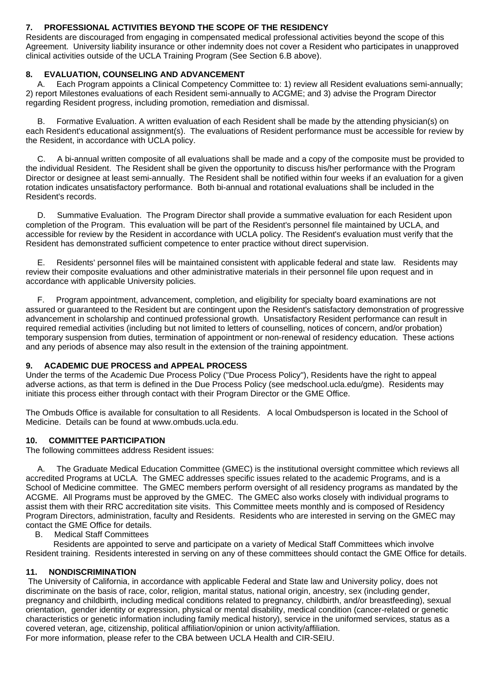## **7. PROFESSIONAL ACTIVITIES BEYOND THE SCOPE OF THE RESIDENCY**

Residents are discouraged from engaging in compensated medical professional activities beyond the scope of this Agreement. University liability insurance or other indemnity does not cover a Resident who participates in unapproved clinical activities outside of the UCLA Training Program (See Section 6.B above).

### **8. EVALUATION, COUNSELING AND ADVANCEMENT**

 A. Each Program appoints a Clinical Competency Committee to: 1) review all Resident evaluations semi-annually; 2) report Milestones evaluations of each Resident semi-annually to ACGME; and 3) advise the Program Director regarding Resident progress, including promotion, remediation and dismissal.

 B. Formative Evaluation. A written evaluation of each Resident shall be made by the attending physician(s) on each Resident's educational assignment(s). The evaluations of Resident performance must be accessible for review by the Resident, in accordance with UCLA policy.

 C. A bi-annual written composite of all evaluations shall be made and a copy of the composite must be provided to the individual Resident. The Resident shall be given the opportunity to discuss his/her performance with the Program Director or designee at least semi-annually. The Resident shall be notified within four weeks if an evaluation for a given rotation indicates unsatisfactory performance. Both bi-annual and rotational evaluations shall be included in the Resident's records.

 D. Summative Evaluation. The Program Director shall provide a summative evaluation for each Resident upon completion of the Program. This evaluation will be part of the Resident's personnel file maintained by UCLA, and accessible for review by the Resident in accordance with UCLA policy. The Resident's evaluation must verify that the Resident has demonstrated sufficient competence to enter practice without direct supervision.

 E. Residents' personnel files will be maintained consistent with applicable federal and state law. Residents may review their composite evaluations and other administrative materials in their personnel file upon request and in accordance with applicable University policies.

 F. Program appointment, advancement, completion, and eligibility for specialty board examinations are not assured or guaranteed to the Resident but are contingent upon the Resident's satisfactory demonstration of progressive advancement in scholarship and continued professional growth. Unsatisfactory Resident performance can result in required remedial activities (including but not limited to letters of counselling, notices of concern, and/or probation) temporary suspension from duties, termination of appointment or non-renewal of residency education. These actions and any periods of absence may also result in the extension of the training appointment.

### **9. ACADEMIC DUE PROCESS and APPEAL PROCESS**

Under the terms of the Academic Due Process Policy ("Due Process Policy"), Residents have the right to appeal adverse actions, as that term is defined in the Due Process Policy (see medschool.ucla.edu/gme). Residents may initiate this process either through contact with their Program Director or the GME Office.

The Ombuds Office is available for consultation to all Residents. A local Ombudsperson is located in the School of Medicine. Details can be found at www.ombuds.ucla.edu.

# **10. COMMITTEE PARTICIPATION**

The following committees address Resident issues:

 A. The Graduate Medical Education Committee (GMEC) is the institutional oversight committee which reviews all accredited Programs at UCLA. The GMEC addresses specific issues related to the academic Programs, and is a School of Medicine committee. The GMEC members perform oversight of all residency programs as mandated by the ACGME. All Programs must be approved by the GMEC. The GMEC also works closely with individual programs to assist them with their RRC accreditation site visits. This Committee meets monthly and is composed of Residency Program Directors, administration, faculty and Residents. Residents who are interested in serving on the GMEC may contact the GME Office for details.

B. Medical Staff Committees

 Residents are appointed to serve and participate on a variety of Medical Staff Committees which involve Resident training. Residents interested in serving on any of these committees should contact the GME Office for details.

# **11. NONDISCRIMINATION**

 The University of California, in accordance with applicable Federal and State law and University policy, does not discriminate on the basis of race, color, religion, marital status, national origin, ancestry, sex (including gender, pregnancy and childbirth, including medical conditions related to pregnancy, childbirth, and/or breastfeeding), sexual orientation, gender identity or expression, physical or mental disability, medical condition (cancer-related or genetic characteristics or genetic information including family medical history), service in the uniformed services, status as a covered veteran, age, citizenship, political affiliation/opinion or union activity/affiliation.

For more information, please refer to the CBA between UCLA Health and CIR-SEIU.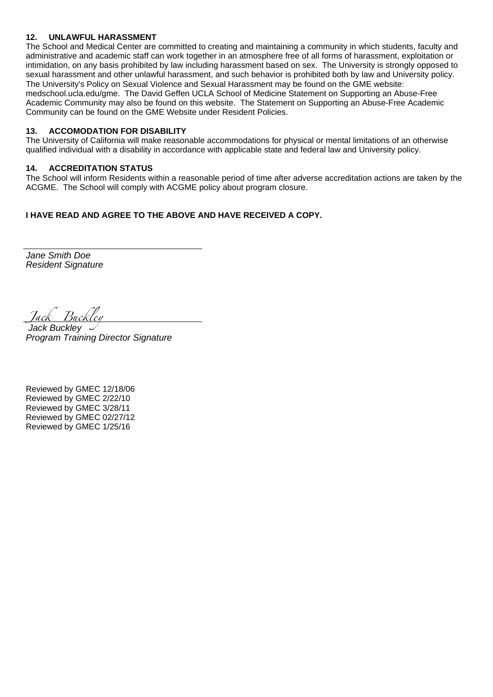## **12. UNLAWFUL HARASSMENT**

The School and Medical Center are committed to creating and maintaining a community in which students, faculty and administrative and academic staff can work together in an atmosphere free of all forms of harassment, exploitation or intimidation, on any basis prohibited by law including harassment based on sex. The University is strongly opposed to sexual harassment and other unlawful harassment, and such behavior is prohibited both by law and University policy. The University's Policy on Sexual Violence and Sexual Harassment may be found on the GME website: medschool.ucla.edu/gme. The David Geffen UCLA School of Medicine Statement on Supporting an Abuse-Free Academic Community may also be found on this website. The Statement on Supporting an Abuse-Free Academic Community can be found on the GME Website under Resident Policies.

### **13. ACCOMODATION FOR DISABILITY**

The University of California will make reasonable accommodations for physical or mental limitations of an otherwise qualified individual with a disability in accordance with applicable state and federal law and University policy.

### **14. ACCREDITATION STATUS**

 The School will inform Residents within a reasonable period of time after adverse accreditation actions are taken by the ACGME. The School will comply with ACGME policy about program closure.

# **I HAVE READ AND AGREE TO THE ABOVE AND HAVE RECEIVED A COPY.**

Jane Smith Doe Resident Signature

Jack Buckley Jack Buckley

Program Training Director Signature

Reviewed by GMEC 12/18/06 Reviewed by GMEC 2/22/10 Reviewed by GMEC 3/28/11 Reviewed by GMEC 02/27/12 Reviewed by GMEC 1/25/16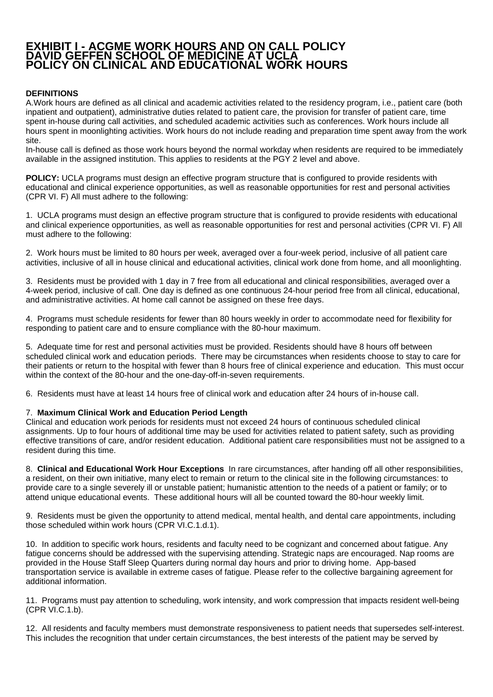# **EXHIBIT I - ACGME WORK HOURS AND ON CALL POLICY DAVID GEFFEN SCHOOL OF MEDICINE AT UCLA POLICY ON CLINICAL AND EDUCATIONAL WORK HOURS**

# **DEFINITIONS**

A. Work hours are defined as all clinical and academic activities related to the residency program, i.e., patient care (both inpatient and outpatient), administrative duties related to patient care, the provision for transfer of patient care, time spent in-house during call activities, and scheduled academic activities such as conferences. Work hours include all hours spent in moonlighting activities. Work hours do not include reading and preparation time spent away from the work site.

In-house call is defined as those work hours beyond the normal workday when residents are required to be immediately available in the assigned institution. This applies to residents at the PGY 2 level and above.

**POLICY:** UCLA programs must design an effective program structure that is configured to provide residents with educational and clinical experience opportunities, as well as reasonable opportunities for rest and personal activities (CPR VI. F) All must adhere to the following:

1. UCLA programs must design an effective program structure that is configured to provide residents with educational and clinical experience opportunities, as well as reasonable opportunities for rest and personal activities (CPR VI. F) All must adhere to the following:

2. Work hours must be limited to 80 hours per week, averaged over a four-week period, inclusive of all patient care activities, inclusive of all in house clinical and educational activities, clinical work done from home, and all moonlighting.

3. Residents must be provided with 1 day in 7 free from all educational and clinical responsibilities, averaged over a 4-week period, inclusive of call. One day is defined as one continuous 24-hour period free from all clinical, educational, and administrative activities. At home call cannot be assigned on these free days.

4. Programs must schedule residents for fewer than 80 hours weekly in order to accommodate need for flexibility for responding to patient care and to ensure compliance with the 80-hour maximum.

5. Adequate time for rest and personal activities must be provided. Residents should have 8 hours off between scheduled clinical work and education periods. There may be circumstances when residents choose to stay to care for their patients or return to the hospital with fewer than 8 hours free of clinical experience and education. This must occur within the context of the 80-hour and the one-day-off-in-seven requirements.

6. Residents must have at least 14 hours free of clinical work and education after 24 hours of in-house call.

### 7. **Maximum Clinical Work and Education Period Length**

Clinical and education work periods for residents must not exceed 24 hours of continuous scheduled clinical assignments. Up to four hours of additional time may be used for activities related to patient safety, such as providing effective transitions of care, and/or resident education. Additional patient care responsibilities must not be assigned to a resident during this time.

8. **Clinical and Educational Work Hour Exceptions** In rare circumstances, after handing off all other responsibilities, a resident, on their own initiative, many elect to remain or return to the clinical site in the following circumstances: to provide care to a single severely ill or unstable patient; humanistic attention to the needs of a patient or family; or to attend unique educational events. These additional hours will all be counted toward the 80-hour weekly limit.

9. Residents must be given the opportunity to attend medical, mental health, and dental care appointments, including those scheduled within work hours (CPR VI.C.1.d.1).

10. In addition to specific work hours, residents and faculty need to be cognizant and concerned about fatigue. Any fatigue concerns should be addressed with the supervising attending. Strategic naps are encouraged. Nap rooms are provided in the House Staff Sleep Quarters during normal day hours and prior to driving home. App-based transportation service is available in extreme cases of fatigue. Please refer to the collective bargaining agreement for additional information.

11. Programs must pay attention to scheduling, work intensity, and work compression that impacts resident well-being (CPR VI.C.1.b).

12. All residents and faculty members must demonstrate responsiveness to patient needs that supersedes self-interest. This includes the recognition that under certain circumstances, the best interests of the patient may be served by